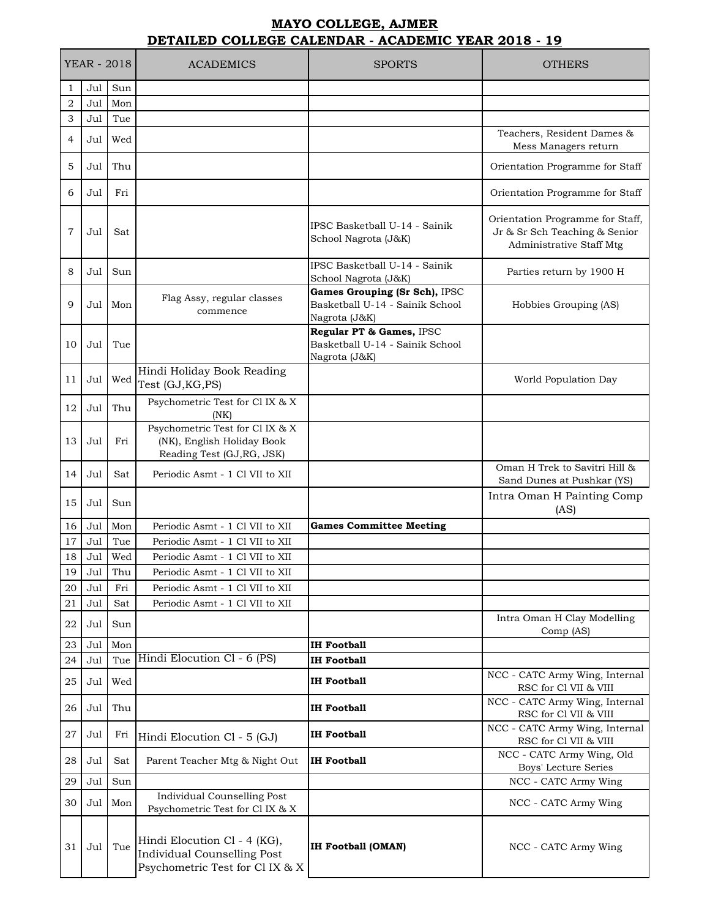## **MAYO COLLEGE, AJMER DETAILED COLLEGE CALENDAR - ACADEMIC YEAR 2018 - 19**

|                | <b>YEAR - 2018</b> |            | <b>ACADEMICS</b>                                                                                      | <b>SPORTS</b>                                                                     | <b>OTHERS</b>                                                                                 |
|----------------|--------------------|------------|-------------------------------------------------------------------------------------------------------|-----------------------------------------------------------------------------------|-----------------------------------------------------------------------------------------------|
| 1              | Jul                | Sun        |                                                                                                       |                                                                                   |                                                                                               |
| $\overline{2}$ | Jul                | Mon        |                                                                                                       |                                                                                   |                                                                                               |
| 3              | Jul                | Tue        |                                                                                                       |                                                                                   |                                                                                               |
| 4              | Jul                | Wed        |                                                                                                       |                                                                                   | Teachers, Resident Dames &<br>Mess Managers return                                            |
| 5              | Jul                | Thu        |                                                                                                       |                                                                                   | Orientation Programme for Staff                                                               |
| 6              | Jul                | Fri        |                                                                                                       |                                                                                   | Orientation Programme for Staff                                                               |
| $\overline{7}$ | Jul                | Sat        |                                                                                                       | IPSC Basketball U-14 - Sainik<br>School Nagrota (J&K)                             | Orientation Programme for Staff,<br>Jr & Sr Sch Teaching & Senior<br>Administrative Staff Mtg |
| 8              | Jul                | Sun        |                                                                                                       | IPSC Basketball U-14 - Sainik<br>School Nagrota (J&K)                             | Parties return by 1900 H                                                                      |
| 9              | Jul                | Mon        | Flag Assy, regular classes<br>commence                                                                | Games Grouping (Sr Sch), IPSC<br>Basketball U-14 - Sainik School<br>Nagrota (J&K) | Hobbies Grouping (AS)                                                                         |
| 10             | Jul                | Tue        |                                                                                                       | Regular PT & Games, IPSC<br>Basketball U-14 - Sainik School<br>Nagrota (J&K)      |                                                                                               |
| 11             | Jul                | Wed        | Hindi Holiday Book Reading<br>Test (GJ, KG, PS)                                                       |                                                                                   | World Population Day                                                                          |
| 12             | Jul                | Thu        | Psychometric Test for Cl IX & X<br>(NK)                                                               |                                                                                   |                                                                                               |
| 13             | Jul                | Fri        | Psychometric Test for Cl IX & X<br>(NK), English Holiday Book<br>Reading Test (GJ, RG, JSK)           |                                                                                   |                                                                                               |
| 14             | Jul                | Sat        | Periodic Asmt - 1 Cl VII to XII                                                                       |                                                                                   | Oman H Trek to Savitri Hill &<br>Sand Dunes at Pushkar (YS)                                   |
| 15             | Jul                | Sun        |                                                                                                       |                                                                                   | Intra Oman H Painting Comp<br>(AS)                                                            |
| 16             | Jul                | Mon        | Periodic Asmt - 1 Cl VII to XII                                                                       | <b>Games Committee Meeting</b>                                                    |                                                                                               |
| 17             | Jul                | Tue        | Periodic Asmt - 1 Cl VII to XII                                                                       |                                                                                   |                                                                                               |
| 18             | Jul                | Wed        | Periodic Asmt - 1 Cl VII to XII                                                                       |                                                                                   |                                                                                               |
| 19             | Jul                | Thu        | Periodic Asmt - 1 Cl VII to XII                                                                       |                                                                                   |                                                                                               |
| 20             | Jul                | Fri        | Periodic Asmt - 1 Cl VII to XII                                                                       |                                                                                   |                                                                                               |
| 21<br>22       | Jul<br>Jul         | Sat<br>Sun | Periodic Asmt - 1 Cl VII to XII                                                                       |                                                                                   | Intra Oman H Clay Modelling                                                                   |
| 23             | Jul                | Mon        |                                                                                                       | IH Football                                                                       | Comp (AS)                                                                                     |
| 24             | Jul                | Tue        | Hindi Elocution Cl - 6 (PS)                                                                           | <b>IH Football</b>                                                                |                                                                                               |
| 25             | Jul                | Wed        |                                                                                                       | IH Football                                                                       | NCC - CATC Army Wing, Internal<br>RSC for Cl VII & VIII                                       |
| 26             | Jul                | Thu        |                                                                                                       | <b>IH Football</b>                                                                | NCC - CATC Army Wing, Internal<br>RSC for Cl VII & VIII                                       |
| 27             | Jul                | Fri        | Hindi Elocution Cl - 5 (GJ)                                                                           | <b>IH Football</b>                                                                | NCC - CATC Army Wing, Internal<br>RSC for Cl VII & VIII                                       |
| 28             | Jul                | Sat        | Parent Teacher Mtg & Night Out                                                                        | <b>IH Football</b>                                                                | NCC - CATC Army Wing, Old<br>Boys' Lecture Series                                             |
| 29             | Jul                | Sun        |                                                                                                       |                                                                                   | NCC - CATC Army Wing                                                                          |
| 30             | Jul                | Mon        | <b>Individual Counselling Post</b><br>Psychometric Test for Cl IX & X                                 |                                                                                   | NCC - CATC Army Wing                                                                          |
| 31             | Jul                | Tue        | Hindi Elocution Cl - 4 (KG),<br><b>Individual Counselling Post</b><br>Psychometric Test for Cl IX & X | <b>IH Football (OMAN)</b>                                                         | NCC - CATC Army Wing                                                                          |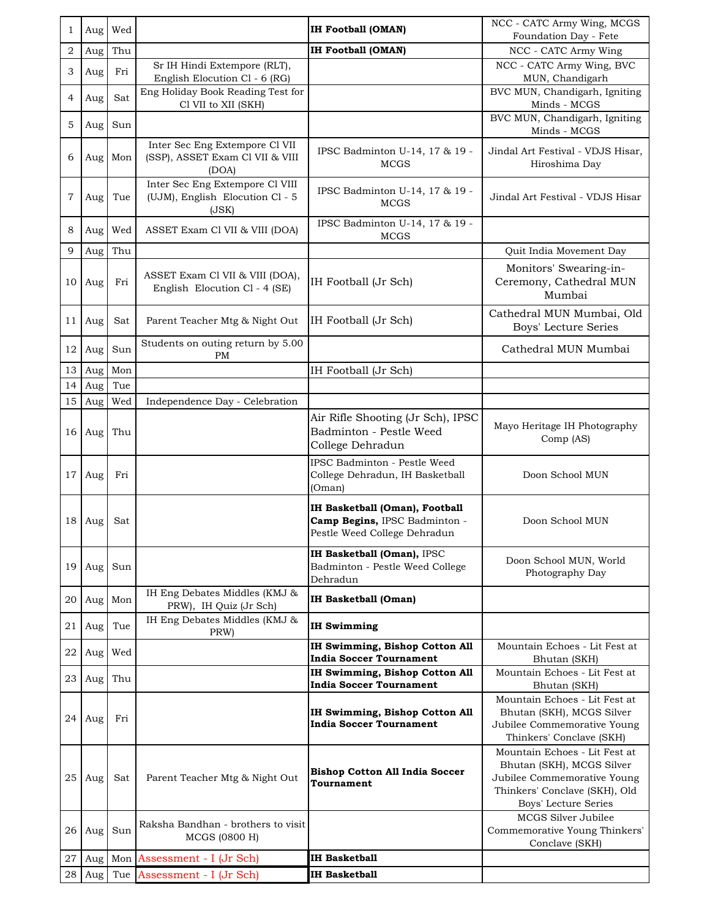| 1              | Aug | Wed     |                                                                             | <b>IH Football (OMAN)</b>                                                                       | NCC - CATC Army Wing, MCGS<br>Foundation Day - Fete                                                                                                |
|----------------|-----|---------|-----------------------------------------------------------------------------|-------------------------------------------------------------------------------------------------|----------------------------------------------------------------------------------------------------------------------------------------------------|
| 2              | Aug | Thu     |                                                                             | <b>IH Football (OMAN)</b>                                                                       | NCC - CATC Army Wing                                                                                                                               |
| 3              | Aug | Fri     | Sr IH Hindi Extempore (RLT),<br>English Elocution Cl - 6 (RG)               |                                                                                                 | NCC - CATC Army Wing, BVC<br>MUN, Chandigarh                                                                                                       |
| 4              | Aug | Sat     | Eng Holiday Book Reading Test for<br>Cl VII to XII (SKH)                    |                                                                                                 | BVC MUN, Chandigarh, Igniting<br>Minds - MCGS                                                                                                      |
| 5              | Aug | Sun     |                                                                             |                                                                                                 | BVC MUN, Chandigarh, Igniting<br>Minds - MCGS                                                                                                      |
| 6              |     | Aug Mon | Inter Sec Eng Extempore Cl VII<br>(SSP), ASSET Exam Cl VII & VIII<br>(DOA)  | IPSC Badminton U-14, 17 & 19 -<br>MCGS                                                          | Jindal Art Festival - VDJS Hisar,<br>Hiroshima Day                                                                                                 |
| $\overline{7}$ | Aug | Tue     | Inter Sec Eng Extempore Cl VIII<br>(UJM), English Elocution Cl - 5<br>(JSK) | IPSC Badminton U-14, 17 & 19 -<br><b>MCGS</b>                                                   | Jindal Art Festival - VDJS Hisar                                                                                                                   |
| 8              | Aug | Wed     | ASSET Exam Cl VII & VIII (DOA)                                              | IPSC Badminton U-14, 17 & 19 -<br><b>MCGS</b>                                                   |                                                                                                                                                    |
| 9              | Aug | Thu     |                                                                             |                                                                                                 | Quit India Movement Day                                                                                                                            |
| 10             | Aug | Fri     | ASSET Exam Cl VII & VIII (DOA),<br>English Elocution Cl - 4 (SE)            | IH Football (Jr Sch)                                                                            | Monitors' Swearing-in-<br>Ceremony, Cathedral MUN<br>Mumbai                                                                                        |
| 11             | Aug | Sat     | Parent Teacher Mtg & Night Out                                              | IH Football (Jr Sch)                                                                            | Cathedral MUN Mumbai, Old<br><b>Boys' Lecture Series</b>                                                                                           |
| 12             | Aug | Sun     | Students on outing return by 5.00<br>PM                                     |                                                                                                 | Cathedral MUN Mumbai                                                                                                                               |
| 13             | Aug | Mon     |                                                                             | IH Football (Jr Sch)                                                                            |                                                                                                                                                    |
| 14             | Aug | Tue     |                                                                             |                                                                                                 |                                                                                                                                                    |
| 15             | Aug | Wed     | Independence Day - Celebration                                              |                                                                                                 |                                                                                                                                                    |
| 16             | Aug | Thu     |                                                                             | Air Rifle Shooting (Jr Sch), IPSC<br>Badminton - Pestle Weed<br>College Dehradun                | Mayo Heritage IH Photography<br>Comp (AS)                                                                                                          |
| 17             | Aug | Fri     |                                                                             | IPSC Badminton - Pestle Weed<br>College Dehradun, IH Basketball<br>(Oman)                       | Doon School MUN                                                                                                                                    |
| 18             | Aug | Sat     |                                                                             | IH Basketball (Oman), Football<br>Camp Begins, IPSC Badminton -<br>Pestle Weed College Dehradun | Doon School MUN                                                                                                                                    |
| 19             | Aug | Sun     |                                                                             | IH Basketball (Oman), IPSC<br>Badminton - Pestle Weed College<br>Dehradun                       | Doon School MUN, World<br>Photography Day                                                                                                          |
| 20             | Aug | Mon     | IH Eng Debates Middles (KMJ &<br>PRW), IH Quiz (Jr Sch)                     | <b>IH Basketball (Oman)</b>                                                                     |                                                                                                                                                    |
| 21             | Aug | Tue     | IH Eng Debates Middles (KMJ &<br>PRW)                                       | <b>IH Swimming</b>                                                                              |                                                                                                                                                    |
| 22             | Aug | Wed     |                                                                             | <b>IH Swimming, Bishop Cotton All</b><br><b>India Soccer Tournament</b>                         | Mountain Echoes - Lit Fest at<br>Bhutan (SKH)                                                                                                      |
| $23 \mid$      | Aug | Thu     |                                                                             | IH Swimming, Bishop Cotton All<br><b>India Soccer Tournament</b>                                | Mountain Echoes - Lit Fest at<br>Bhutan (SKH)                                                                                                      |
| 24             | Aug | Fri     |                                                                             | IH Swimming, Bishop Cotton All<br><b>India Soccer Tournament</b>                                | Mountain Echoes - Lit Fest at<br>Bhutan (SKH), MCGS Silver<br>Jubilee Commemorative Young<br>Thinkers' Conclave (SKH)                              |
| 25             | Aug | Sat     | Parent Teacher Mtg & Night Out                                              | <b>Bishop Cotton All India Soccer</b><br>Tournament                                             | Mountain Echoes - Lit Fest at<br>Bhutan (SKH), MCGS Silver<br>Jubilee Commemorative Young<br>Thinkers' Conclave (SKH), Old<br>Boys' Lecture Series |
| 26             | Aug | Sun     | Raksha Bandhan - brothers to visit<br>MCGS (0800 H)                         |                                                                                                 | MCGS Silver Jubilee<br>Commemorative Young Thinkers'<br>Conclave (SKH)                                                                             |
| 27             | Aug |         | Mon Assessment - I (Jr Sch)                                                 | <b>IH Basketball</b>                                                                            |                                                                                                                                                    |
| 28             | Aug |         | Tue Assessment - I (Jr Sch)                                                 | IH Basketball                                                                                   |                                                                                                                                                    |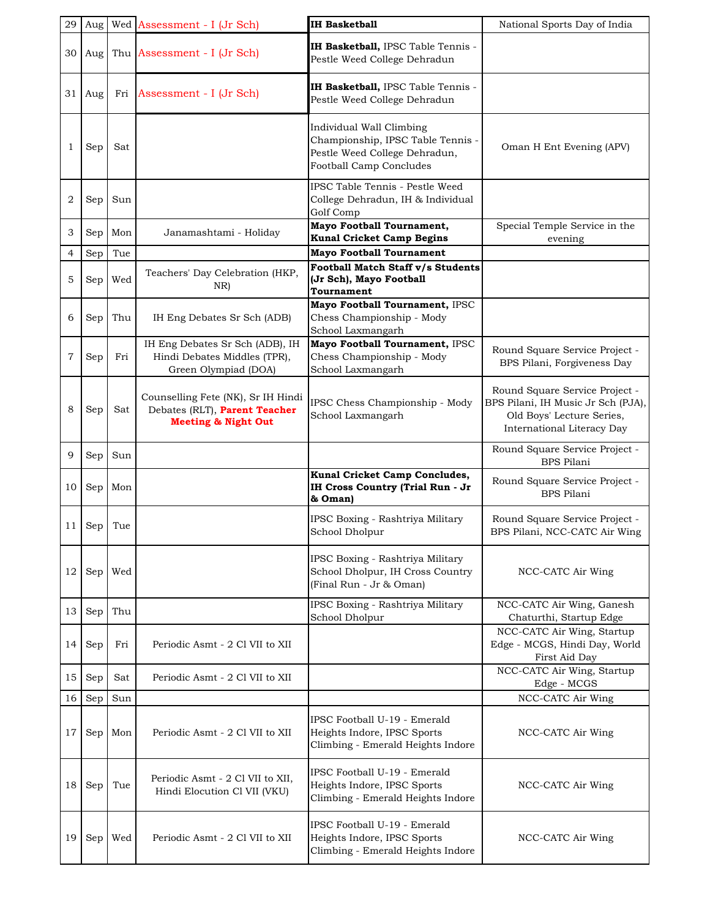| 29             |     |     | Aug   Wed   Assessment - I (Jr Sch)                                                                   | <b>IH Basketball</b>                                                                                                             | National Sports Day of India                                                                                                    |
|----------------|-----|-----|-------------------------------------------------------------------------------------------------------|----------------------------------------------------------------------------------------------------------------------------------|---------------------------------------------------------------------------------------------------------------------------------|
| 30             | Aug |     | Thu Assessment - I (Jr Sch)                                                                           | IH Basketball, IPSC Table Tennis -<br>Pestle Weed College Dehradun                                                               |                                                                                                                                 |
| 31             | Aug | Fri | Assessment - I (Jr Sch)                                                                               | IH Basketball, IPSC Table Tennis -<br>Pestle Weed College Dehradun                                                               |                                                                                                                                 |
| 1              | Sep | Sat |                                                                                                       | Individual Wall Climbing<br>Championship, IPSC Table Tennis -<br>Pestle Weed College Dehradun,<br><b>Football Camp Concludes</b> | Oman H Ent Evening (APV)                                                                                                        |
| $\overline{2}$ | Sep | Sun |                                                                                                       | IPSC Table Tennis - Pestle Weed<br>College Dehradun, IH & Individual<br>Golf Comp                                                |                                                                                                                                 |
| 3              | Sep | Mon | Janamashtami - Holiday                                                                                | <b>Mayo Football Tournament,</b><br><b>Kunal Cricket Camp Begins</b>                                                             | Special Temple Service in the<br>evening                                                                                        |
| 4              | Sep | Tue |                                                                                                       | <b>Mayo Football Tournament</b>                                                                                                  |                                                                                                                                 |
| 5              | Sep | Wed | Teachers' Day Celebration (HKP,<br>NR)                                                                | Football Match Staff v/s Students<br>(Jr Sch), Mayo Football<br>Tournament                                                       |                                                                                                                                 |
| 6              | Sep | Thu | IH Eng Debates Sr Sch (ADB)                                                                           | Mayo Football Tournament, IPSC<br>Chess Championship - Mody<br>School Laxmangarh                                                 |                                                                                                                                 |
| 7              | Sep | Fri | IH Eng Debates Sr Sch (ADB), IH<br>Hindi Debates Middles (TPR),<br>Green Olympiad (DOA)               | Mayo Football Tournament, IPSC<br>Chess Championship - Mody<br>School Laxmangarh                                                 | Round Square Service Project -<br>BPS Pilani, Forgiveness Day                                                                   |
| 8              | Sep | Sat | Counselling Fete (NK), Sr IH Hindi<br>Debates (RLT), Parent Teacher<br><b>Meeting &amp; Night Out</b> | IPSC Chess Championship - Mody<br>School Laxmangarh                                                                              | Round Square Service Project -<br>BPS Pilani, IH Music Jr Sch (PJA),<br>Old Boys' Lecture Series,<br>International Literacy Day |
| 9              | Sep | Sun |                                                                                                       |                                                                                                                                  | Round Square Service Project -<br><b>BPS</b> Pilani                                                                             |
|                |     |     |                                                                                                       | Kunal Cricket Camp Concludes,                                                                                                    | Round Square Service Project -                                                                                                  |
| 10             | Sep | Mon |                                                                                                       | IH Cross Country (Trial Run - Jr<br>& Oman)                                                                                      | <b>BPS Pilani</b>                                                                                                               |
| 11             | Sep | Tue |                                                                                                       | IPSC Boxing - Rashtriya Military<br>School Dholpur                                                                               | Round Square Service Project -<br>BPS Pilani, NCC-CATC Air Wing                                                                 |
| 12             | Sep | Wed |                                                                                                       | IPSC Boxing - Rashtriya Military<br>School Dholpur, IH Cross Country<br>(Final Run - Jr & Oman)                                  | NCC-CATC Air Wing                                                                                                               |
| 13             | Sep | Thu |                                                                                                       | IPSC Boxing - Rashtriya Military<br>School Dholpur                                                                               | NCC-CATC Air Wing, Ganesh<br>Chaturthi, Startup Edge                                                                            |
| 14             | Sep | Fri | Periodic Asmt - 2 Cl VII to XII                                                                       |                                                                                                                                  | NCC-CATC Air Wing, Startup<br>Edge - MCGS, Hindi Day, World<br>First Aid Day                                                    |
| 15             | Sep | Sat | Periodic Asmt - 2 Cl VII to XII                                                                       |                                                                                                                                  | NCC-CATC Air Wing, Startup<br>Edge - MCGS                                                                                       |
| 16             | Sep | Sun |                                                                                                       |                                                                                                                                  | NCC-CATC Air Wing                                                                                                               |
| 17             | Sep | Mon | Periodic Asmt - 2 Cl VII to XII                                                                       | IPSC Football U-19 - Emerald<br>Heights Indore, IPSC Sports<br>Climbing - Emerald Heights Indore                                 | NCC-CATC Air Wing                                                                                                               |
| 18             | Sep | Tue | Periodic Asmt - 2 Cl VII to XII,<br>Hindi Elocution Cl VII (VKU)                                      | IPSC Football U-19 - Emerald<br>Heights Indore, IPSC Sports<br>Climbing - Emerald Heights Indore                                 | NCC-CATC Air Wing                                                                                                               |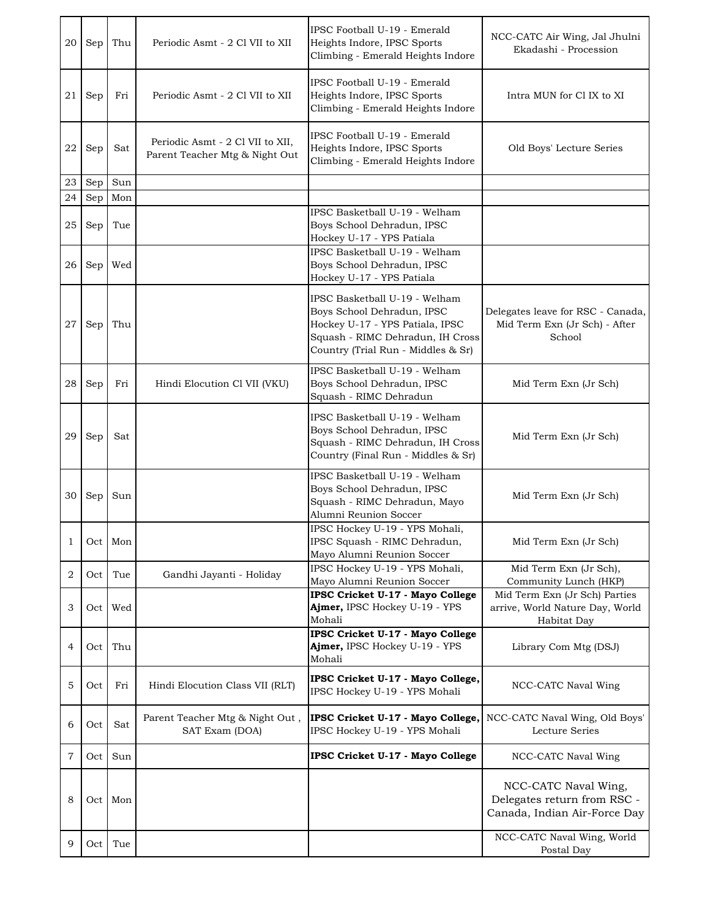| 20 | Sep              | Thu     | Periodic Asmt - 2 Cl VII to XII                                    | IPSC Football U-19 - Emerald<br>Heights Indore, IPSC Sports<br>Climbing - Emerald Heights Indore                                                                         | NCC-CATC Air Wing, Jal Jhulni<br>Ekadashi - Procession                              |
|----|------------------|---------|--------------------------------------------------------------------|--------------------------------------------------------------------------------------------------------------------------------------------------------------------------|-------------------------------------------------------------------------------------|
| 21 | Sep              | Fri     | Periodic Asmt - 2 Cl VII to XII                                    | IPSC Football U-19 - Emerald<br>Heights Indore, IPSC Sports<br>Climbing - Emerald Heights Indore                                                                         | Intra MUN for Cl IX to XI                                                           |
| 22 | Sep              | Sat     | Periodic Asmt - 2 Cl VII to XII,<br>Parent Teacher Mtg & Night Out | IPSC Football U-19 - Emerald<br>Heights Indore, IPSC Sports<br>Climbing - Emerald Heights Indore                                                                         | Old Boys' Lecture Series                                                            |
| 23 | Sep              | Sun     |                                                                    |                                                                                                                                                                          |                                                                                     |
| 24 | Sep              | Mon     |                                                                    |                                                                                                                                                                          |                                                                                     |
| 25 | Sep              | Tue     |                                                                    | IPSC Basketball U-19 - Welham<br>Boys School Dehradun, IPSC<br>Hockey U-17 - YPS Patiala                                                                                 |                                                                                     |
| 26 | Sep              | Wed     |                                                                    | IPSC Basketball U-19 - Welham<br>Boys School Dehradun, IPSC<br>Hockey U-17 - YPS Patiala                                                                                 |                                                                                     |
| 27 | Sep              | Thu     |                                                                    | IPSC Basketball U-19 - Welham<br>Boys School Dehradun, IPSC<br>Hockey U-17 - YPS Patiala, IPSC<br>Squash - RIMC Dehradun, IH Cross<br>Country (Trial Run - Middles & Sr) | Delegates leave for RSC - Canada,<br>Mid Term Exn (Jr Sch) - After<br>School        |
| 28 | Sep              | Fri     | Hindi Elocution Cl VII (VKU)                                       | IPSC Basketball U-19 - Welham<br>Boys School Dehradun, IPSC<br>Squash - RIMC Dehradun                                                                                    | Mid Term Exn (Jr Sch)                                                               |
| 29 | Sep              | Sat     |                                                                    | IPSC Basketball U-19 - Welham<br>Boys School Dehradun, IPSC<br>Squash - RIMC Dehradun, IH Cross<br>Country (Final Run - Middles & Sr)                                    | Mid Term Exn (Jr Sch)                                                               |
| 30 | Sep              | Sun     |                                                                    | IPSC Basketball U-19 - Welham<br>Boys School Dehradun, IPSC<br>Squash - RIMC Dehradun, Mayo<br>Alumni Reunion Soccer                                                     | Mid Term Exn (Jr Sch)                                                               |
| 1  |                  | Oct Mon |                                                                    | IPSC Hockey U-19 - YPS Mohali,<br>IPSC Squash - RIMC Dehradun,<br>Mayo Alumni Reunion Soccer                                                                             | Mid Term Exn (Jr Sch)                                                               |
| 2  | Oct              | Tue     | Gandhi Jayanti - Holiday                                           | IPSC Hockey U-19 - YPS Mohali,                                                                                                                                           | Mid Term Exn (Jr Sch),                                                              |
|    |                  |         |                                                                    | Mayo Alumni Reunion Soccer<br>IPSC Cricket U-17 - Mayo College                                                                                                           | Community Lunch (HKP)<br>Mid Term Exn (Jr Sch) Parties                              |
| 3  | Oct              | Wed     |                                                                    | Ajmer, IPSC Hockey U-19 - YPS<br>Mohali                                                                                                                                  | arrive, World Nature Day, World<br>Habitat Day                                      |
| 4  | Oct              | Thu     |                                                                    | <b>IPSC Cricket U-17 - Mayo College</b><br>Ajmer, IPSC Hockey U-19 - YPS<br>Mohali                                                                                       | Library Com Mtg (DSJ)                                                               |
| 5  | Oct              | Fri     | Hindi Elocution Class VII (RLT)                                    | IPSC Cricket U-17 - Mayo College,<br>IPSC Hockey U-19 - YPS Mohali                                                                                                       | NCC-CATC Naval Wing                                                                 |
| 6  | Oct              | Sat     | Parent Teacher Mtg & Night Out,<br>SAT Exam (DOA)                  | IPSC Cricket U-17 - Mayo College,<br>IPSC Hockey U-19 - YPS Mohali                                                                                                       | NCC-CATC Naval Wing, Old Boys'<br>Lecture Series                                    |
| 7  | Oct              | Sun     |                                                                    | IPSC Cricket U-17 - Mayo College                                                                                                                                         | NCC-CATC Naval Wing                                                                 |
| 8  | Oct <sub>1</sub> | Mon     |                                                                    |                                                                                                                                                                          | NCC-CATC Naval Wing,<br>Delegates return from RSC -<br>Canada, Indian Air-Force Day |
| 9  | Oct              | Tue     |                                                                    |                                                                                                                                                                          | NCC-CATC Naval Wing, World<br>Postal Day                                            |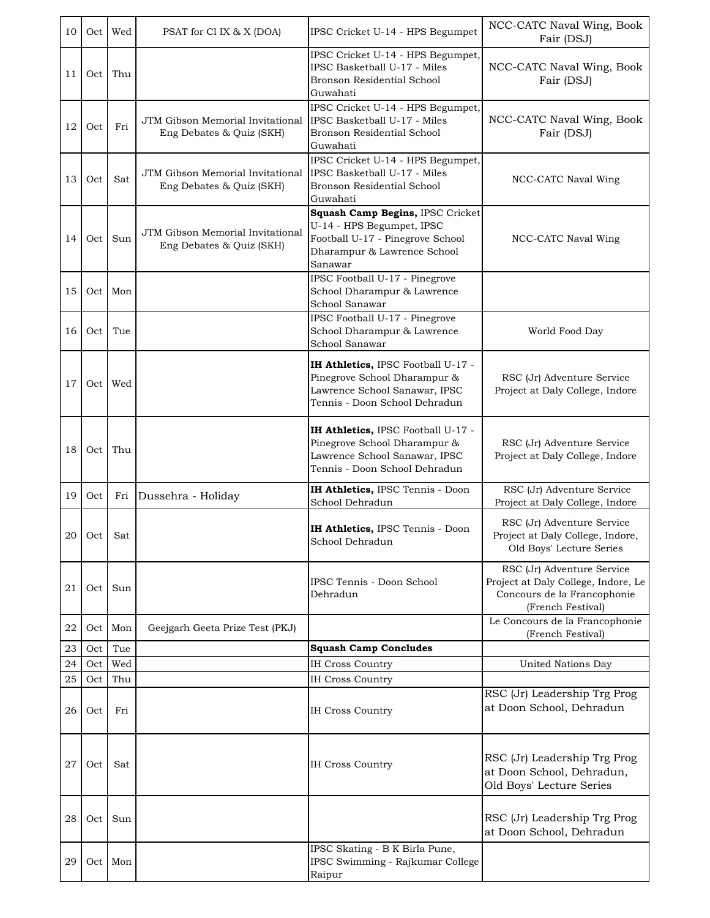| 10 | Oct              | Wed | PSAT for Cl IX & X (DOA)                                     | IPSC Cricket U-14 - HPS Begumpet                                                                                                            | NCC-CATC Naval Wing, Book<br>Fair (DSJ)                                                                               |
|----|------------------|-----|--------------------------------------------------------------|---------------------------------------------------------------------------------------------------------------------------------------------|-----------------------------------------------------------------------------------------------------------------------|
| 11 | Oct              | Thu |                                                              | IPSC Cricket U-14 - HPS Begumpet,<br>IPSC Basketball U-17 - Miles<br>Bronson Residential School<br>Guwahati                                 | NCC-CATC Naval Wing, Book<br>Fair (DSJ)                                                                               |
| 12 | Oct              | Fri | JTM Gibson Memorial Invitational<br>Eng Debates & Quiz (SKH) | IPSC Cricket U-14 - HPS Begumpet,<br>IPSC Basketball U-17 - Miles<br>Bronson Residential School<br>Guwahati                                 | NCC-CATC Naval Wing, Book<br>Fair (DSJ)                                                                               |
| 13 | Oct              | Sat | JTM Gibson Memorial Invitational<br>Eng Debates & Quiz (SKH) | IPSC Cricket U-14 - HPS Begumpet,<br>IPSC Basketball U-17 - Miles<br>Bronson Residential School<br>Guwahati                                 | NCC-CATC Naval Wing                                                                                                   |
| 14 | Oct              | Sun | JTM Gibson Memorial Invitational<br>Eng Debates & Quiz (SKH) | Squash Camp Begins, IPSC Cricket<br>U-14 - HPS Begumpet, IPSC<br>Football U-17 - Pinegrove School<br>Dharampur & Lawrence School<br>Sanawar | NCC-CATC Naval Wing                                                                                                   |
| 15 | Oct              | Mon |                                                              | IPSC Football U-17 - Pinegrove<br>School Dharampur & Lawrence<br>School Sanawar                                                             |                                                                                                                       |
| 16 | Oct              | Tue |                                                              | IPSC Football U-17 - Pinegrove<br>School Dharampur & Lawrence<br>School Sanawar                                                             | World Food Day                                                                                                        |
| 17 | Oct <sub>1</sub> | Wed |                                                              | IH Athletics, IPSC Football U-17 -<br>Pinegrove School Dharampur &<br>Lawrence School Sanawar, IPSC<br>Tennis - Doon School Dehradun        | RSC (Jr) Adventure Service<br>Project at Daly College, Indore                                                         |
| 18 | Oct              | Thu |                                                              | IH Athletics, IPSC Football U-17 -<br>Pinegrove School Dharampur &<br>Lawrence School Sanawar, IPSC<br>Tennis - Doon School Dehradun        | RSC (Jr) Adventure Service<br>Project at Daly College, Indore                                                         |
| 19 | Oct              | Fri | Dussehra - Holiday                                           | IH Athletics, IPSC Tennis - Doon<br>School Dehradun                                                                                         | RSC (Jr) Adventure Service<br>Project at Daly College, Indore                                                         |
|    | 20 Oct Sat       |     |                                                              | IH Athletics, IPSC Tennis - Doon<br>School Dehradun                                                                                         | RSC (Jr) Adventure Service<br>Project at Daly College, Indore,<br>Old Boys' Lecture Series                            |
| 21 | Oct              | Sun |                                                              | IPSC Tennis - Doon School<br>Dehradun                                                                                                       | RSC (Jr) Adventure Service<br>Project at Daly College, Indore, Le<br>Concours de la Francophonie<br>(French Festival) |
| 22 | Oct              | Mon | Geejgarh Geeta Prize Test (PKJ)                              |                                                                                                                                             | Le Concours de la Francophonie<br>(French Festival)                                                                   |
| 23 | Oct              | Tue |                                                              | <b>Squash Camp Concludes</b>                                                                                                                |                                                                                                                       |
| 24 | Oct              | Wed |                                                              | <b>IH Cross Country</b>                                                                                                                     | United Nations Day                                                                                                    |
| 25 | Oct              | Thu |                                                              | <b>IH Cross Country</b>                                                                                                                     |                                                                                                                       |
| 26 | Oct              | Fri |                                                              | <b>IH Cross Country</b>                                                                                                                     | RSC (Jr) Leadership Trg Prog<br>at Doon School, Dehradun                                                              |
| 27 | Oct              | Sat |                                                              | <b>IH Cross Country</b>                                                                                                                     | RSC (Jr) Leadership Trg Prog<br>at Doon School, Dehradun,<br>Old Boys' Lecture Series                                 |
| 28 | Oct              | Sun |                                                              |                                                                                                                                             | RSC (Jr) Leadership Trg Prog<br>at Doon School, Dehradun                                                              |
| 29 | Oct              | Mon |                                                              | IPSC Skating - B K Birla Pune,<br>IPSC Swimming - Rajkumar College<br>Raipur                                                                |                                                                                                                       |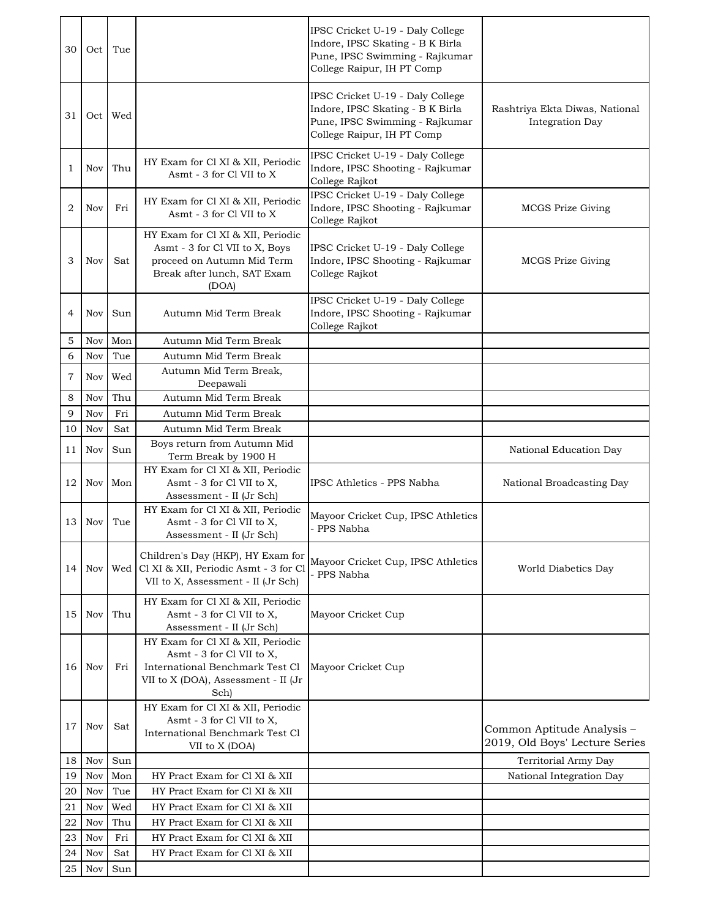| 30             | Oct        | Tue        |                                                                                                                                                  | IPSC Cricket U-19 - Daly College<br>Indore, IPSC Skating - B K Birla<br>Pune, IPSC Swimming - Rajkumar<br>College Raipur, IH PT Comp |                                                              |
|----------------|------------|------------|--------------------------------------------------------------------------------------------------------------------------------------------------|--------------------------------------------------------------------------------------------------------------------------------------|--------------------------------------------------------------|
| 31             | Oct        | Wed        |                                                                                                                                                  | IPSC Cricket U-19 - Daly College<br>Indore, IPSC Skating - B K Birla<br>Pune, IPSC Swimming - Rajkumar<br>College Raipur, IH PT Comp | Rashtriya Ekta Diwas, National<br><b>Integration Day</b>     |
| 1              | Nov        | Thu        | HY Exam for Cl XI & XII, Periodic<br>Asmt - 3 for Cl VII to X                                                                                    | IPSC Cricket U-19 - Daly College<br>Indore, IPSC Shooting - Rajkumar<br>College Rajkot                                               |                                                              |
| $\overline{2}$ | Nov        | Fri        | HY Exam for Cl XI & XII, Periodic<br>Asmt - 3 for Cl VII to X                                                                                    | IPSC Cricket U-19 - Daly College<br>Indore, IPSC Shooting - Rajkumar<br>College Rajkot                                               | <b>MCGS Prize Giving</b>                                     |
| 3              | Nov        | Sat        | HY Exam for Cl XI & XII, Periodic<br>Asmt - 3 for Cl VII to X, Boys<br>proceed on Autumn Mid Term<br>Break after lunch, SAT Exam<br>(DOA)        | IPSC Cricket U-19 - Daly College<br>Indore, IPSC Shooting - Rajkumar<br>College Rajkot                                               | MCGS Prize Giving                                            |
| 4              | Nov        | Sun        | Autumn Mid Term Break                                                                                                                            | IPSC Cricket U-19 - Daly College<br>Indore, IPSC Shooting - Rajkumar<br>College Rajkot                                               |                                                              |
| 5              | Nov        | Mon        | Autumn Mid Term Break                                                                                                                            |                                                                                                                                      |                                                              |
| 6              | Nov        | Tue        | Autumn Mid Term Break                                                                                                                            |                                                                                                                                      |                                                              |
| 7              | Nov        | Wed        | Autumn Mid Term Break,<br>Deepawali                                                                                                              |                                                                                                                                      |                                                              |
| 8              | Nov        | Thu        | Autumn Mid Term Break                                                                                                                            |                                                                                                                                      |                                                              |
| 9              | Nov        | Fri        | Autumn Mid Term Break                                                                                                                            |                                                                                                                                      |                                                              |
| 10             | Nov        | Sat        | Autumn Mid Term Break                                                                                                                            |                                                                                                                                      |                                                              |
| 11             | Nov        | Sun        | Boys return from Autumn Mid                                                                                                                      |                                                                                                                                      | National Education Day                                       |
| 12             | Nov        | Mon        | Term Break by 1900 H<br>HY Exam for Cl XI & XII, Periodic<br>Asmt - 3 for Cl VII to X,<br>Assessment - II (Jr Sch)                               | IPSC Athletics - PPS Nabha                                                                                                           | National Broadcasting Day                                    |
| 13             | Nov        | Tue        | HY Exam for Cl XI & XII, Periodic<br>Asmt - 3 for Cl VII to X,<br>Assessment - II (Jr Sch)                                                       | Mayoor Cricket Cup, IPSC Athletics<br>PPS Nabha                                                                                      |                                                              |
| 14             | Nov        | Wed        | Children's Day (HKP), HY Exam for<br>Cl XI & XII, Periodic Asmt - 3 for Cl<br>VII to X, Assessment - II (Jr Sch)                                 | Mayoor Cricket Cup, IPSC Athletics<br>- PPS Nabha                                                                                    | World Diabetics Day                                          |
| 15             | Nov        | Thu        | HY Exam for Cl XI & XII, Periodic<br>Asmt - 3 for Cl VII to X,<br>Assessment - II (Jr Sch)                                                       | Mayoor Cricket Cup                                                                                                                   |                                                              |
| 16             | Nov        | Fri        | HY Exam for Cl XI & XII, Periodic<br>Asmt - 3 for Cl VII to X,<br>International Benchmark Test Cl<br>VII to X (DOA), Assessment - II (Jr<br>Sch) | Mayoor Cricket Cup                                                                                                                   |                                                              |
| 17             | Nov        | Sat        | HY Exam for Cl XI & XII, Periodic<br>Asmt - 3 for Cl VII to X,<br>International Benchmark Test Cl<br>VII to X (DOA)                              |                                                                                                                                      | Common Aptitude Analysis -<br>2019, Old Boys' Lecture Series |
| 18             | Nov        | Sun        |                                                                                                                                                  |                                                                                                                                      | Territorial Army Day                                         |
| 19             | Nov        | Mon        | HY Pract Exam for Cl XI & XII                                                                                                                    |                                                                                                                                      | National Integration Day                                     |
| 20             | Nov        | Tue        | HY Pract Exam for Cl XI & XII                                                                                                                    |                                                                                                                                      |                                                              |
| 21             | Nov        | Wed        | HY Pract Exam for Cl XI & XII                                                                                                                    |                                                                                                                                      |                                                              |
| 22             | Nov        | Thu<br>Fri | HY Pract Exam for Cl XI & XII<br>HY Pract Exam for Cl XI & XII                                                                                   |                                                                                                                                      |                                                              |
| 23<br>24       | Nov<br>Nov | Sat        | HY Pract Exam for Cl XI & XII                                                                                                                    |                                                                                                                                      |                                                              |
| 25             | Nov        | Sun        |                                                                                                                                                  |                                                                                                                                      |                                                              |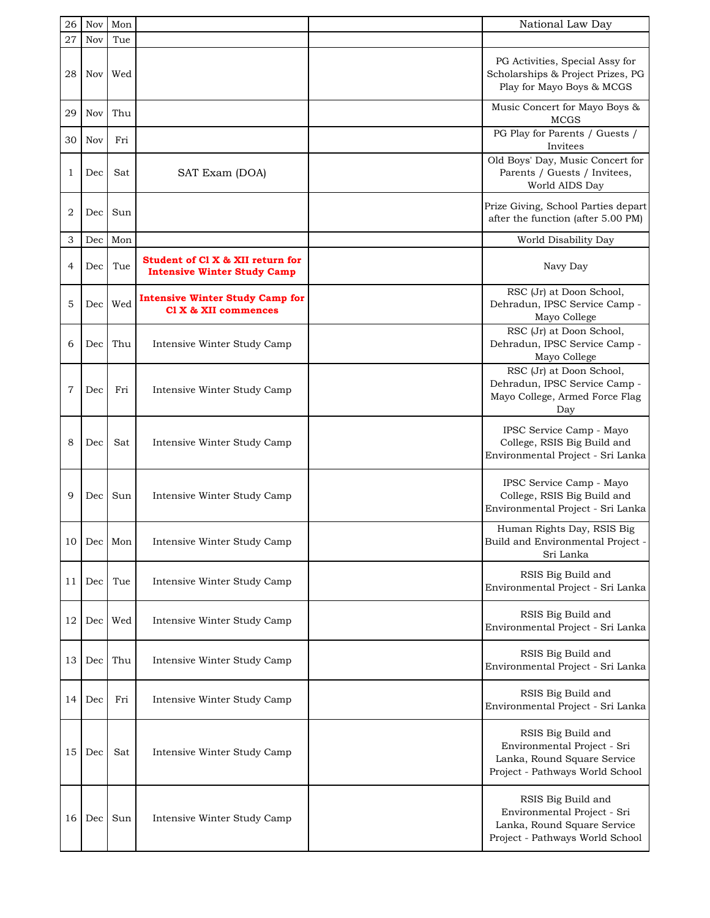| 26             | Nov        | Mon |                                                                        | National Law Day                                                                                                    |
|----------------|------------|-----|------------------------------------------------------------------------|---------------------------------------------------------------------------------------------------------------------|
| 27             | <b>Nov</b> | Tue |                                                                        |                                                                                                                     |
| 28             | Nov        | Wed |                                                                        | PG Activities, Special Assy for<br>Scholarships & Project Prizes, PG<br>Play for Mayo Boys & MCGS                   |
| 29             | Nov        | Thu |                                                                        | Music Concert for Mayo Boys &<br><b>MCGS</b>                                                                        |
| 30             | Nov        | Fri |                                                                        | PG Play for Parents / Guests /<br>Invitees                                                                          |
| 1              | Dec        | Sat | SAT Exam (DOA)                                                         | Old Boys' Day, Music Concert for<br>Parents / Guests / Invitees,<br>World AIDS Day                                  |
| 2              | Dec        | Sun |                                                                        | Prize Giving, School Parties depart<br>after the function (after 5.00 PM)                                           |
| 3              | Dec        | Mon |                                                                        | World Disability Day                                                                                                |
| 4              | Dec        | Tue | Student of Cl X & XII return for<br><b>Intensive Winter Study Camp</b> | Navy Day                                                                                                            |
| 5              | Dec        | Wed | <b>Intensive Winter Study Camp for</b><br>Cl X & XII commences         | RSC (Jr) at Doon School,<br>Dehradun, IPSC Service Camp -<br>Mayo College                                           |
| 6              | Dec        | Thu | Intensive Winter Study Camp                                            | RSC (Jr) at Doon School,<br>Dehradun, IPSC Service Camp -<br>Mayo College                                           |
| $\overline{7}$ | Dec        | Fri | Intensive Winter Study Camp                                            | RSC (Jr) at Doon School,<br>Dehradun, IPSC Service Camp -<br>Mayo College, Armed Force Flag<br>Day                  |
| 8              | Dec        | Sat | Intensive Winter Study Camp                                            | IPSC Service Camp - Mayo<br>College, RSIS Big Build and<br>Environmental Project - Sri Lanka                        |
| 9              | Dec        | Sun | Intensive Winter Study Camp                                            | IPSC Service Camp - Mayo<br>College, RSIS Big Build and<br>Environmental Project - Sri Lanka                        |
|                | 10 Dec Mon |     | Intensive Winter Study Camp                                            | Human Rights Day, RSIS Big<br>Build and Environmental Project -<br>Sri Lanka                                        |
| 11             | Dec        | Tue | Intensive Winter Study Camp                                            | RSIS Big Build and<br>Environmental Project - Sri Lanka                                                             |
| 12             | Dec        | Wed | Intensive Winter Study Camp                                            | RSIS Big Build and<br>Environmental Project - Sri Lanka                                                             |
| 13             | Dec        | Thu | Intensive Winter Study Camp                                            | RSIS Big Build and<br>Environmental Project - Sri Lanka                                                             |
| 14             | Dec        | Fri | Intensive Winter Study Camp                                            | RSIS Big Build and<br>Environmental Project - Sri Lanka                                                             |
| 15             | Dec        | Sat | Intensive Winter Study Camp                                            | RSIS Big Build and<br>Environmental Project - Sri<br>Lanka, Round Square Service<br>Project - Pathways World School |
| 16             | Dec        | Sun | Intensive Winter Study Camp                                            | RSIS Big Build and<br>Environmental Project - Sri<br>Lanka, Round Square Service<br>Project - Pathways World School |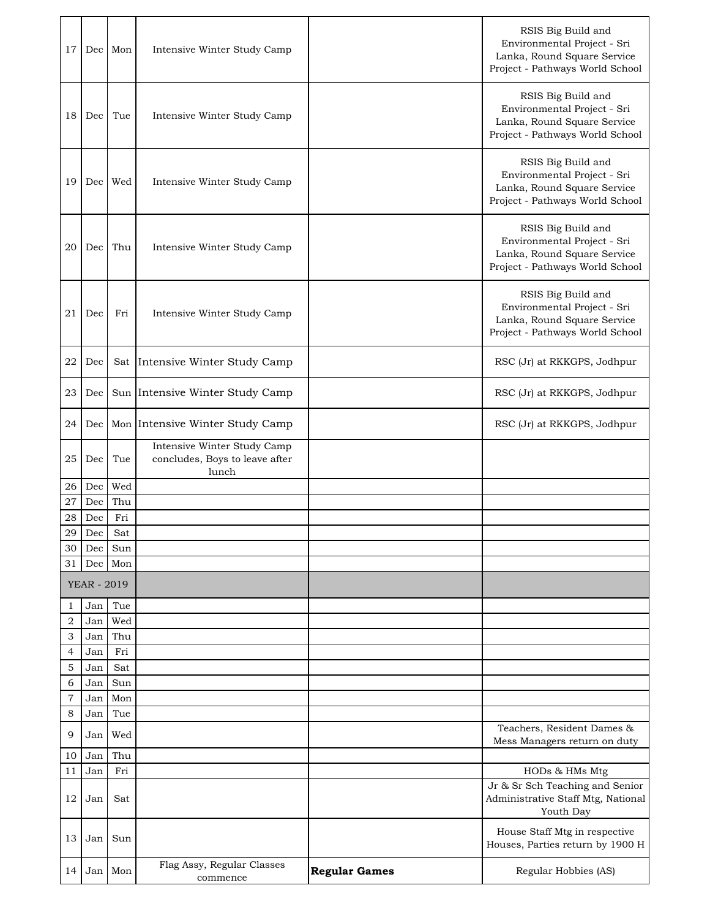| 17                  | Dec                | Mon        | Intensive Winter Study Camp                                            |                      | RSIS Big Build and<br>Environmental Project - Sri<br>Lanka, Round Square Service<br>Project - Pathways World School |
|---------------------|--------------------|------------|------------------------------------------------------------------------|----------------------|---------------------------------------------------------------------------------------------------------------------|
| 18                  | Dec                | Tue        | Intensive Winter Study Camp                                            |                      | RSIS Big Build and<br>Environmental Project - Sri<br>Lanka, Round Square Service<br>Project - Pathways World School |
| 19                  | Dec                | Wed        | Intensive Winter Study Camp                                            |                      | RSIS Big Build and<br>Environmental Project - Sri<br>Lanka, Round Square Service<br>Project - Pathways World School |
| 20                  | Dec                | Thu        | Intensive Winter Study Camp                                            |                      | RSIS Big Build and<br>Environmental Project - Sri<br>Lanka, Round Square Service<br>Project - Pathways World School |
| 21                  | Dec                | Fri        | Intensive Winter Study Camp                                            |                      | RSIS Big Build and<br>Environmental Project - Sri<br>Lanka, Round Square Service<br>Project - Pathways World School |
| 22                  | Dec                | Sat        | Intensive Winter Study Camp                                            |                      | RSC (Jr) at RKKGPS, Jodhpur                                                                                         |
| 23                  | Dec                |            | Sun Intensive Winter Study Camp                                        |                      | RSC (Jr) at RKKGPS, Jodhpur                                                                                         |
| 24                  | Dec                |            | Mon Intensive Winter Study Camp                                        |                      | RSC (Jr) at RKKGPS, Jodhpur                                                                                         |
| 25                  | Dec                | Tue        | Intensive Winter Study Camp<br>concludes, Boys to leave after<br>lunch |                      |                                                                                                                     |
| 26                  | Dec                | Wed        |                                                                        |                      |                                                                                                                     |
| 27                  | Dec                | Thu        |                                                                        |                      |                                                                                                                     |
| 28                  | Dec                | Fri        |                                                                        |                      |                                                                                                                     |
| 29<br>30            | Dec<br>Dec         | Sat<br>Sun |                                                                        |                      |                                                                                                                     |
| 31                  | Dec                | Mon        |                                                                        |                      |                                                                                                                     |
|                     | <b>YEAR - 2019</b> |            |                                                                        |                      |                                                                                                                     |
| 1                   | Jan                | Tue        |                                                                        |                      |                                                                                                                     |
| $\overline{2}$      | Jan                | Wed        |                                                                        |                      |                                                                                                                     |
| 3                   | Jan                | Thu        |                                                                        |                      |                                                                                                                     |
| 4                   | Jan                | Fri        |                                                                        |                      |                                                                                                                     |
| 5                   | Jan                | Sat        |                                                                        |                      |                                                                                                                     |
| 6<br>$\overline{7}$ | Jan<br>Jan         | Sun<br>Mon |                                                                        |                      |                                                                                                                     |
| 8                   | Jan                | Tue        |                                                                        |                      |                                                                                                                     |
| 9                   | Jan                | Wed        |                                                                        |                      | Teachers, Resident Dames &<br>Mess Managers return on duty                                                          |
| 10                  | Jan                | Thu        |                                                                        |                      |                                                                                                                     |
| 11                  | Jan                | Fri        |                                                                        |                      | HODs & HMs Mtg                                                                                                      |
| 12                  | Jan                | Sat        |                                                                        |                      | Jr & Sr Sch Teaching and Senior<br>Administrative Staff Mtg, National<br>Youth Day                                  |
| 13                  | Jan                | Sun        |                                                                        |                      | House Staff Mtg in respective<br>Houses, Parties return by 1900 H                                                   |
| 14                  | Jan                | Mon        | Flag Assy, Regular Classes<br>commence                                 | <b>Regular Games</b> | Regular Hobbies (AS)                                                                                                |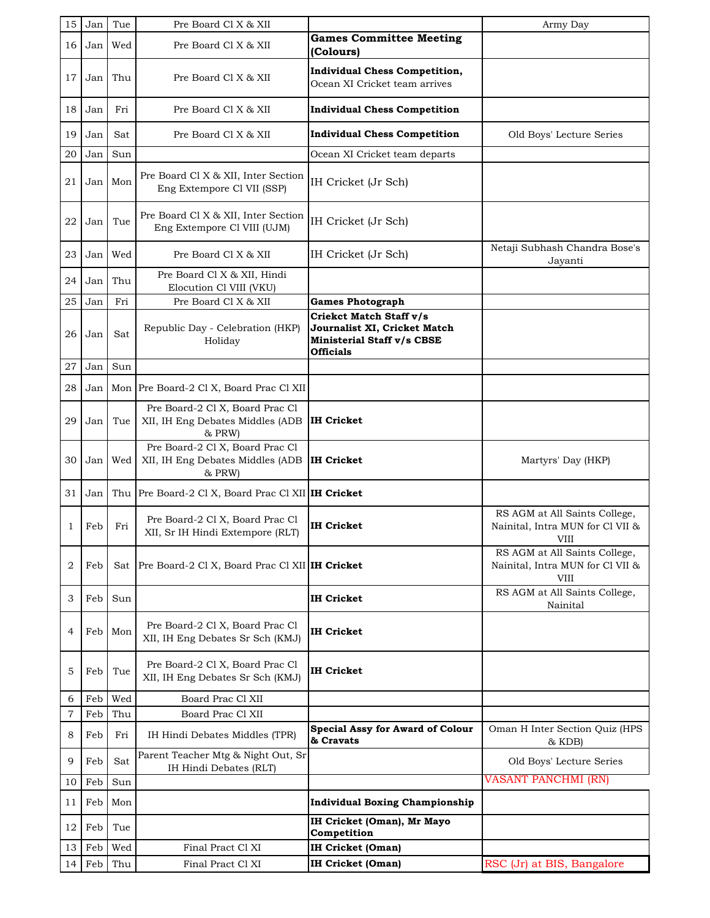| 15             | Jan | Tue | Pre Board Cl X & XII                                                          |                                                                                                           | Army Day                                                                         |
|----------------|-----|-----|-------------------------------------------------------------------------------|-----------------------------------------------------------------------------------------------------------|----------------------------------------------------------------------------------|
| 16             | Jan | Wed | Pre Board Cl X & XII                                                          | <b>Games Committee Meeting</b><br>(Colours)                                                               |                                                                                  |
| 17             | Jan | Thu | Pre Board Cl X & XII                                                          | <b>Individual Chess Competition,</b><br>Ocean XI Cricket team arrives                                     |                                                                                  |
| 18             | Jan | Fri | Pre Board Cl X & XII                                                          | <b>Individual Chess Competition</b>                                                                       |                                                                                  |
| 19             | Jan | Sat | Pre Board Cl X & XII                                                          | <b>Individual Chess Competition</b>                                                                       | Old Boys' Lecture Series                                                         |
| 20             | Jan | Sun |                                                                               | Ocean XI Cricket team departs                                                                             |                                                                                  |
| 21             | Jan | Mon | Pre Board Cl X & XII, Inter Section<br>Eng Extempore Cl VII (SSP)             | IH Cricket (Jr Sch)                                                                                       |                                                                                  |
| 22             | Jan | Tue | Pre Board Cl X & XII, Inter Section<br>Eng Extempore Cl VIII (UJM)            | IH Cricket (Jr Sch)                                                                                       |                                                                                  |
| 23             | Jan | Wed | Pre Board Cl X & XII                                                          | IH Cricket (Jr Sch)                                                                                       | Netaji Subhash Chandra Bose's<br>Jayanti                                         |
| 24             | Jan | Thu | Pre Board Cl X & XII, Hindi<br>Elocution Cl VIII (VKU)                        |                                                                                                           |                                                                                  |
| 25             | Jan | Fri | Pre Board Cl X & XII                                                          | <b>Games Photograph</b>                                                                                   |                                                                                  |
| 26             | Jan | Sat | Republic Day - Celebration (HKP)<br>Holiday                                   | Criekct Match Staff v/s<br>Journalist XI, Cricket Match<br>Ministerial Staff v/s CBSE<br><b>Officials</b> |                                                                                  |
| 27             | Jan | Sun |                                                                               |                                                                                                           |                                                                                  |
| 28             | Jan |     | Mon Pre Board-2 Cl X, Board Prac Cl XII                                       |                                                                                                           |                                                                                  |
| 29             | Jan | Tue | Pre Board-2 Cl X, Board Prac Cl<br>XII, IH Eng Debates Middles (ADB<br>& PRW) | <b>IH Cricket</b>                                                                                         |                                                                                  |
| 30             | Jan | Wed | Pre Board-2 Cl X, Board Prac Cl<br>XII, IH Eng Debates Middles (ADB<br>& PRW) | <b>IH Cricket</b>                                                                                         | Martyrs' Day (HKP)                                                               |
| 31             | Jan | Thu | Pre Board-2 Cl X, Board Prac Cl XII IH Cricket                                |                                                                                                           |                                                                                  |
| 1              | Feb | Fri | Pre Board-2 Cl X, Board Prac Cl<br>XII, Sr IH Hindi Extempore (RLT)           | IH Cricket                                                                                                | RS AGM at All Saints College,<br>Nainital, Intra MUN for Cl VII &<br>VIII        |
| $\overline{2}$ | Feb | Sat | Pre Board-2 Cl X, Board Prac Cl XII IH Cricket                                |                                                                                                           | RS AGM at All Saints College,<br>Nainital, Intra MUN for Cl VII &<br><b>VIII</b> |
| 3              | Feb | Sun |                                                                               | <b>IH Cricket</b>                                                                                         | RS AGM at All Saints College,<br>Nainital                                        |
| 4              | Feb | Mon | Pre Board-2 Cl X, Board Prac Cl<br>XII, IH Eng Debates Sr Sch (KMJ)           | IH Cricket                                                                                                |                                                                                  |
| 5              | Feb | Tue | Pre Board-2 Cl X, Board Prac Cl<br>XII, IH Eng Debates Sr Sch (KMJ)           | IH Cricket                                                                                                |                                                                                  |
| 6              | Feb | Wed | Board Prac Cl XII                                                             |                                                                                                           |                                                                                  |
| 7              | Feb | Thu | Board Prac Cl XII                                                             |                                                                                                           |                                                                                  |
| 8              | Feb | Fri | IH Hindi Debates Middles (TPR)                                                | <b>Special Assy for Award of Colour</b><br>& Cravats                                                      | Oman H Inter Section Quiz (HPS<br>& KDB)                                         |
| 9              | Feb | Sat | Parent Teacher Mtg & Night Out, Sr<br>IH Hindi Debates (RLT)                  |                                                                                                           | Old Boys' Lecture Series                                                         |
| 10             | Feb | Sun |                                                                               |                                                                                                           | <b>VASANT PANCHMI (RN)</b>                                                       |
| 11             | Feb | Mon |                                                                               | <b>Individual Boxing Championship</b>                                                                     |                                                                                  |
| 12             | Feb | Tue |                                                                               | IH Cricket (Oman), Mr Mayo<br>Competition                                                                 |                                                                                  |
| 13             | Feb | Wed | Final Pract Cl XI                                                             | IH Cricket (Oman)                                                                                         |                                                                                  |
| 14             | Feb | Thu | Final Pract Cl XI                                                             | <b>IH Cricket (Oman)</b>                                                                                  | RSC (Jr) at BIS, Bangalore                                                       |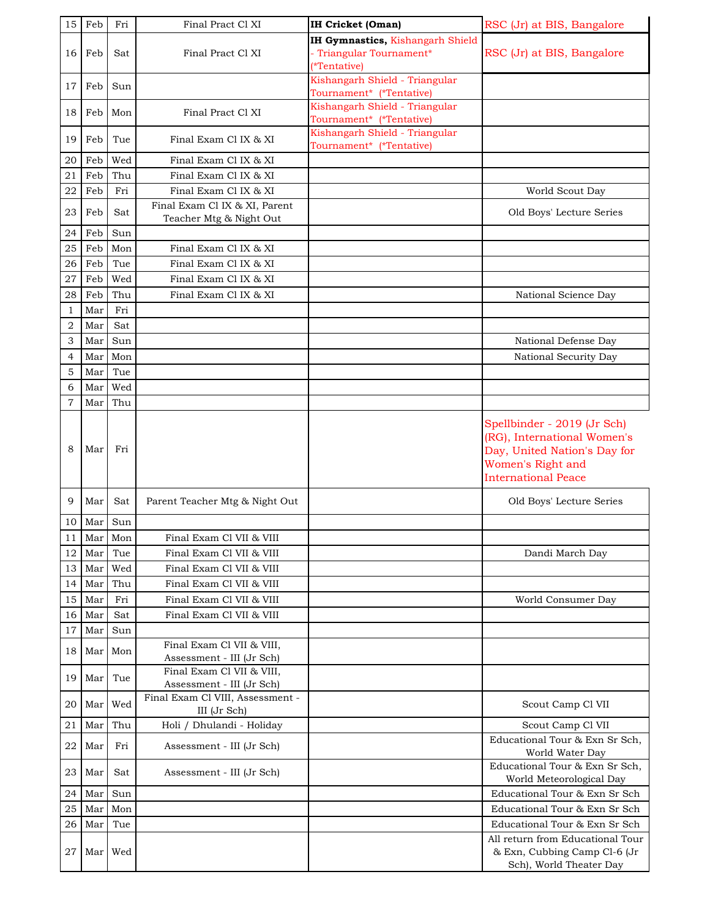| 15                  | Feb        | Fri        | Final Pract Cl XI                                        | <b>IH Cricket (Oman)</b>                                                     | RSC (Jr) at BIS, Bangalore                                                                                                                    |
|---------------------|------------|------------|----------------------------------------------------------|------------------------------------------------------------------------------|-----------------------------------------------------------------------------------------------------------------------------------------------|
| 16 <sup>1</sup>     | Feb        | Sat        | Final Pract Cl XI                                        | IH Gymnastics, Kishangarh Shield<br>- Triangular Tournament*<br>(*Tentative) | RSC (Jr) at BIS, Bangalore                                                                                                                    |
| 17                  | Feb        | Sun        |                                                          | Kishangarh Shield - Triangular<br>Tournament* (*Tentative)                   |                                                                                                                                               |
| 18                  | Feb        | Mon        | Final Pract Cl XI                                        | Kishangarh Shield - Triangular<br>Tournament* (*Tentative)                   |                                                                                                                                               |
| 19                  | Feb        | Tue        | Final Exam Cl IX & XI                                    | Kishangarh Shield - Triangular<br>Tournament* (*Tentative)                   |                                                                                                                                               |
| 20                  | Feb        | Wed        | Final Exam Cl IX & XI                                    |                                                                              |                                                                                                                                               |
| 21                  | Feb        | Thu        | Final Exam Cl IX & XI                                    |                                                                              |                                                                                                                                               |
| 22                  | Feb        | Fri        | Final Exam Cl IX & XI                                    |                                                                              | World Scout Day                                                                                                                               |
| 23                  | Feb        | Sat        | Final Exam Cl IX & XI, Parent<br>Teacher Mtg & Night Out |                                                                              | Old Boys' Lecture Series                                                                                                                      |
| 24                  | Feb        | Sun        |                                                          |                                                                              |                                                                                                                                               |
| 25                  | Feb        | Mon        | Final Exam Cl IX & XI                                    |                                                                              |                                                                                                                                               |
| 26                  | Feb        | Tue        | Final Exam Cl IX & XI                                    |                                                                              |                                                                                                                                               |
| 27                  | Feb        | Wed        | Final Exam Cl IX & XI                                    |                                                                              |                                                                                                                                               |
| 28                  | Feb<br>Mar | Thu<br>Fri | Final Exam Cl IX & XI                                    |                                                                              | National Science Day                                                                                                                          |
| 1<br>$\overline{2}$ | Mar        | Sat        |                                                          |                                                                              |                                                                                                                                               |
| 3                   | Mar        | Sun        |                                                          |                                                                              | National Defense Day                                                                                                                          |
| 4                   | Mar        | Mon        |                                                          |                                                                              | National Security Day                                                                                                                         |
| 5                   | Mar        | Tue        |                                                          |                                                                              |                                                                                                                                               |
| 6                   | Mar        | Wed        |                                                          |                                                                              |                                                                                                                                               |
| 7                   | Mar        | Thu        |                                                          |                                                                              |                                                                                                                                               |
| 8                   | Mar        | Fri        |                                                          |                                                                              | Spellbinder - 2019 (Jr Sch)<br>(RG), International Women's<br>Day, United Nation's Day for<br>Women's Right and<br><b>International Peace</b> |
| 9                   | Mar        | Sat        | Parent Teacher Mtg & Night Out                           |                                                                              | Old Boys' Lecture Series                                                                                                                      |
| 10                  | Mar        | Sun        |                                                          |                                                                              |                                                                                                                                               |
| $1\,1$              |            | Mar Mon    | Final Exam Cl VII & VIII                                 |                                                                              |                                                                                                                                               |
| 12<br>13            | Mar<br>Mar | Tue<br>Wed | Final Exam Cl VII & VIII<br>Final Exam Cl VII & VIII     |                                                                              | Dandi March Day                                                                                                                               |
| 14                  | Mar        | Thu        | Final Exam Cl VII & VIII                                 |                                                                              |                                                                                                                                               |
| 15                  | Mar        | Fri        | Final Exam Cl VII & VIII                                 |                                                                              | World Consumer Day                                                                                                                            |
| 16                  | Mar        | Sat        | Final Exam Cl VII & VIII                                 |                                                                              |                                                                                                                                               |
| 17                  | Mar        | Sun        |                                                          |                                                                              |                                                                                                                                               |
| 18                  | Mar        | Mon        | Final Exam Cl VII & VIII,<br>Assessment - III (Jr Sch)   |                                                                              |                                                                                                                                               |
| 19                  | Mar        | Tue        | Final Exam Cl VII & VIII,<br>Assessment - III (Jr Sch)   |                                                                              |                                                                                                                                               |
| 20                  | Mar        | Wed        | Final Exam Cl VIII, Assessment -<br>III (Jr Sch)         |                                                                              | Scout Camp Cl VII                                                                                                                             |
| 21                  | Mar        | Thu        | Holi / Dhulandi - Holiday                                |                                                                              | Scout Camp Cl VII                                                                                                                             |
| 22                  | Mar        | Fri        | Assessment - III (Jr Sch)                                |                                                                              | Educational Tour & Exn Sr Sch,<br>World Water Day                                                                                             |
| 23                  | Mar        | Sat        | Assessment - III (Jr Sch)                                |                                                                              | Educational Tour & Exn Sr Sch,<br>World Meteorological Day                                                                                    |
| 24                  | Mar        | Sun        |                                                          |                                                                              | Educational Tour & Exn Sr Sch                                                                                                                 |
| 25                  | Mar        | Mon        |                                                          |                                                                              | Educational Tour & Exn Sr Sch                                                                                                                 |
| 26                  | Mar        | Tue        |                                                          |                                                                              | Educational Tour & Exn Sr Sch                                                                                                                 |
| 27                  | Mar        | Wed        |                                                          |                                                                              | All return from Educational Tour<br>& Exn, Cubbing Camp Cl-6 (Jr<br>Sch), World Theater Day                                                   |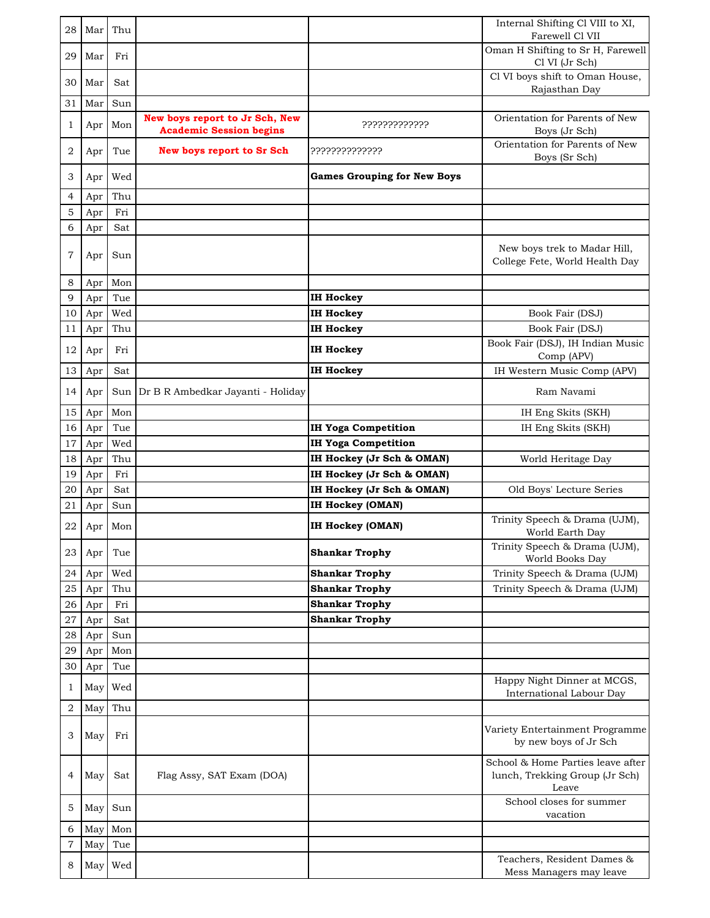| 28             | Mar        | Thu        |                                                                  |                                    | Internal Shifting Cl VIII to XI,<br>Farewell Cl VII                          |
|----------------|------------|------------|------------------------------------------------------------------|------------------------------------|------------------------------------------------------------------------------|
| 29             | Mar        | Fri        |                                                                  |                                    | Oman H Shifting to Sr H, Farewell<br>Cl VI (Jr Sch)                          |
| 30             | Mar        | Sat        |                                                                  |                                    | Cl VI boys shift to Oman House,<br>Rajasthan Day                             |
| 31             | Mar        | Sun        |                                                                  |                                    |                                                                              |
| 1              | Apr        | Mon        | New boys report to Jr Sch, New<br><b>Academic Session begins</b> | ?????????????                      | Orientation for Parents of New<br>Boys (Jr Sch)                              |
| 2              | Apr        | Tue        | <b>New boys report to Sr Sch</b>                                 | ??????????????                     | Orientation for Parents of New<br>Boys (Sr Sch)                              |
| 3              | Apr        | Wed        |                                                                  | <b>Games Grouping for New Boys</b> |                                                                              |
| 4              | Apr        | Thu        |                                                                  |                                    |                                                                              |
| 5              | Apr        | Fri        |                                                                  |                                    |                                                                              |
| 6              | Apr        | Sat        |                                                                  |                                    |                                                                              |
| 7              | Apr        | Sun        |                                                                  |                                    | New boys trek to Madar Hill,<br>College Fete, World Health Day               |
| 8              | Apr        | Mon        |                                                                  |                                    |                                                                              |
| 9              | Apr        | Tue        |                                                                  | <b>IH Hockey</b>                   |                                                                              |
| 10             | Apr        | Wed        |                                                                  | <b>IH Hockey</b>                   | Book Fair (DSJ)                                                              |
| 11             | Apr        | Thu        |                                                                  | <b>IH Hockey</b>                   | Book Fair (DSJ)                                                              |
| 12             | Apr        | Fri        |                                                                  | <b>IH Hockey</b>                   | Book Fair (DSJ), IH Indian Music<br>Comp (APV)                               |
| 13             | Apr        | Sat        |                                                                  | <b>IH Hockey</b>                   | IH Western Music Comp (APV)                                                  |
| 14             | Apr        |            | Sun Dr B R Ambedkar Jayanti - Holiday                            |                                    | Ram Navami                                                                   |
| 15             | Apr        | Mon        |                                                                  |                                    | IH Eng Skits (SKH)                                                           |
| 16             | Apr        | Tue        |                                                                  | <b>IH Yoga Competition</b>         | IH Eng Skits (SKH)                                                           |
| 17             | Apr        | Wed        |                                                                  | <b>IH Yoga Competition</b>         |                                                                              |
| 18             | Apr        | Thu        |                                                                  | IH Hockey (Jr Sch & OMAN)          | World Heritage Day                                                           |
| 19             | Apr        | Fri        |                                                                  | IH Hockey (Jr Sch & OMAN)          |                                                                              |
| 20             | Apr        | Sat        |                                                                  | IH Hockey (Jr Sch & OMAN)          | Old Boys' Lecture Series                                                     |
| 21             | Apr        | Sun        |                                                                  | IH Hockey (OMAN)                   |                                                                              |
| 22             | Apr        | Mon        |                                                                  | IH Hockey (OMAN)                   | Trinity Speech & Drama (UJM),<br>World Earth Day                             |
| 23             | Apr        | Tue        |                                                                  | <b>Shankar Trophy</b>              | Trinity Speech & Drama (UJM),<br>World Books Day                             |
| 24             | Apr        | Wed        |                                                                  | <b>Shankar Trophy</b>              | Trinity Speech & Drama (UJM)                                                 |
| 25             | Apr        | Thu        |                                                                  | <b>Shankar Trophy</b>              | Trinity Speech & Drama (UJM)                                                 |
| 26             | Apr        | Fri        |                                                                  | <b>Shankar Trophy</b>              |                                                                              |
| 27             | Apr        | Sat        |                                                                  | <b>Shankar Trophy</b>              |                                                                              |
| 28             | Apr        | Sun        |                                                                  |                                    |                                                                              |
| 29             | Apr        | Mon        |                                                                  |                                    |                                                                              |
| 30<br>1        | Apr<br>May | Tue<br>Wed |                                                                  |                                    | Happy Night Dinner at MCGS,                                                  |
|                |            |            |                                                                  |                                    | International Labour Day                                                     |
| $\overline{2}$ | May        | Thu        |                                                                  |                                    |                                                                              |
| 3              | May        | Fri        |                                                                  |                                    | Variety Entertainment Programme<br>by new boys of Jr Sch                     |
| 4              | May        | Sat        | Flag Assy, SAT Exam (DOA)                                        |                                    | School & Home Parties leave after<br>lunch, Trekking Group (Jr Sch)<br>Leave |
| 5              | May        | Sun        |                                                                  |                                    | School closes for summer<br>vacation                                         |
| 6              | May        | Mon        |                                                                  |                                    |                                                                              |
| $\overline{7}$ | May        | Tue        |                                                                  |                                    |                                                                              |
| 8              | May        | Wed        |                                                                  |                                    | Teachers, Resident Dames &<br>Mess Managers may leave                        |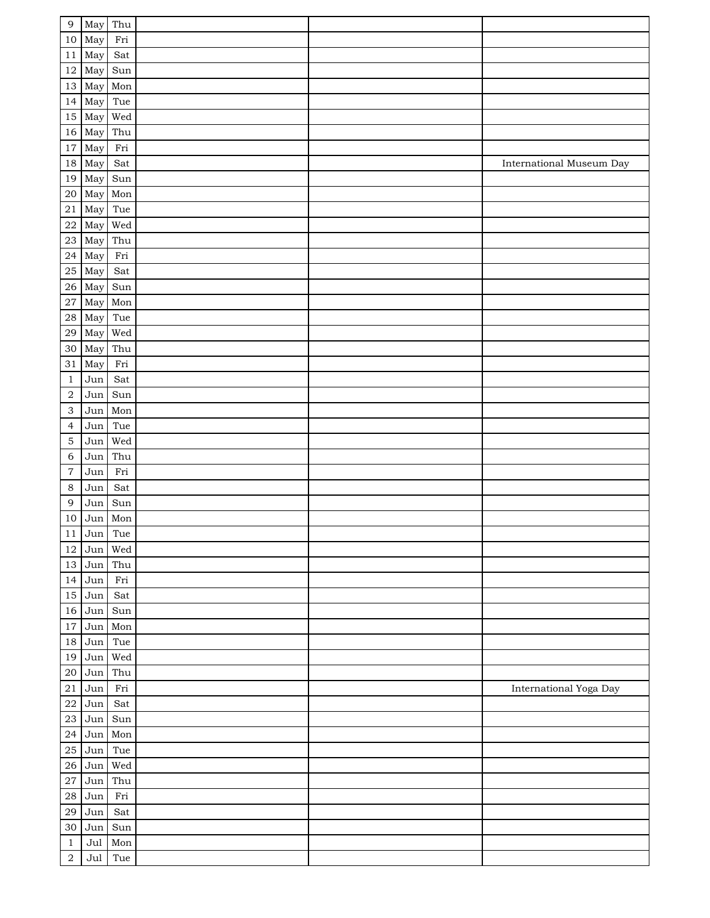| $\overline{9}$            | May Thu              |                  |  |                          |
|---------------------------|----------------------|------------------|--|--------------------------|
| 10                        | May                  | Fri              |  |                          |
| 11                        | May                  | Sat              |  |                          |
| 12                        | May                  | Sun              |  |                          |
| 13                        | May                  | Mon              |  |                          |
| 14                        | May                  | Tue              |  |                          |
| 15                        | May                  | Wed              |  |                          |
| 16                        | May                  | Thu              |  |                          |
| $17\,$                    | May                  | Fri              |  |                          |
| 18                        | May                  | Sat              |  | International Museum Day |
| 19                        | May                  | Sun              |  |                          |
| 20                        | May                  | Mon              |  |                          |
| $21\,$                    | May                  | Tue              |  |                          |
| 22                        | May                  | Wed              |  |                          |
| 23                        | May                  | Thu              |  |                          |
| ${\bf 24}$                | May                  | Fri              |  |                          |
| 25                        | May                  | Sat              |  |                          |
|                           |                      |                  |  |                          |
| 26                        | May                  | Sun              |  |                          |
| 27                        | May                  | Mon              |  |                          |
| $\sqrt{28}$               | May                  | Tue              |  |                          |
| 29                        | May                  | Wed              |  |                          |
| 30                        | May                  | Thu              |  |                          |
| 31                        | May                  | Fri              |  |                          |
| $\mathbf{1}$              | $_{\rm Jun}$         | Sat              |  |                          |
| $\sqrt{2}$                | Jun                  | Sun              |  |                          |
| 3                         | Jun                  | Mon              |  |                          |
| $\overline{4}$            | Jun                  | Tue              |  |                          |
| $\mathbf 5$               | Jun                  | Wed              |  |                          |
| 6                         | Jun                  | Thu              |  |                          |
| $\overline{7}$<br>$\,8\,$ | Jun                  | Fri              |  |                          |
| $\overline{9}$            | Jun                  | Sat              |  |                          |
|                           | Jun                  | Sun              |  |                          |
| 10<br>$1\,1$              | $\rm Jun$<br>Jun Tue | Mon              |  |                          |
|                           |                      |                  |  |                          |
| 12                        | Jun<br>Jun           | Wed<br>Thu       |  |                          |
| $13\,$                    |                      | Fri              |  |                          |
| 14                        | Jun                  |                  |  |                          |
| 15                        | $\rm Jun$            | Sat              |  |                          |
| 16                        | Jun                  | Sun              |  |                          |
| 17                        | Jun                  | Mon              |  |                          |
| 18                        | $\rm Jun$            | Tue<br>Wed       |  |                          |
| 19                        | Jun                  |                  |  |                          |
| $20\,$                    | $\rm Jun$            | Thu              |  |                          |
| $2\sqrt{1}$               | $_{\rm Jun}$         | $\rm Fri$        |  | International Yoga Day   |
| $\bf{22}$                 | $\rm{Jun}$           | Sat              |  |                          |
| $23\,$                    | Jun                  | Sun              |  |                          |
| ${\bf 24}$                | Jun                  | Mon              |  |                          |
| 25                        | Jun                  | Tue              |  |                          |
| 26<br>27                  | Jun                  | Wed              |  |                          |
|                           | $_{\rm Jun}$         | Thu<br>$\rm Fri$ |  |                          |
| 28                        | $\rm Jun$            |                  |  |                          |
| 29                        | $\rm{Jun}$           | Sat              |  |                          |
| 30                        | $_{\rm Jun}$         | Sun              |  |                          |
| $\,1\,$                   | Jul                  | Mon              |  |                          |
| $\overline{2}$            | Jul                  | Tue              |  |                          |